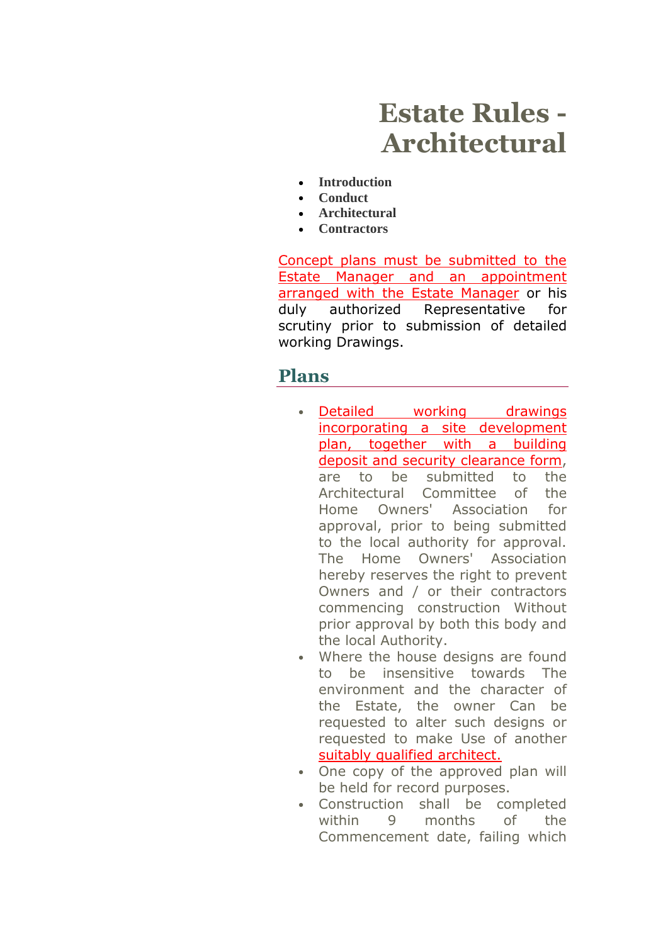# **Estate Rules - Architectural**

- **[Introduction](http://www.silverlakes.co.za/estate_rules.aspx)**
- **[Conduct](http://www.silverlakes.co.za/estate_rules2.aspx)**
- **[Architectural](http://www.silverlakes.co.za/estate_rules3.aspx)**
- **[Contractors](http://www.silverlakes.co.za/estate_rules4.aspx)**

Concept plans must be submitted to the Estate Manager and an appointment arranged with the Estate Manager or his duly authorized Representative for scrutiny prior to submission of detailed working Drawings.

#### **Plans**

- Detailed working drawings incorporating a site development plan, together with a building deposit and security clearance form, are to be submitted to the Architectural Committee of the Home Owners' Association for approval, prior to being submitted to the local authority for approval. The Home Owners' Association hereby reserves the right to prevent Owners and / or their contractors commencing construction Without prior approval by both this body and the local Authority.
- Where the house designs are found to be insensitive towards The environment and the character of the Estate, the owner Can be requested to alter such designs or requested to make Use of another suitably qualified architect.
- One copy of the approved plan will be held for record purposes.
- Construction shall be completed within 9 months of the Commencement date, failing which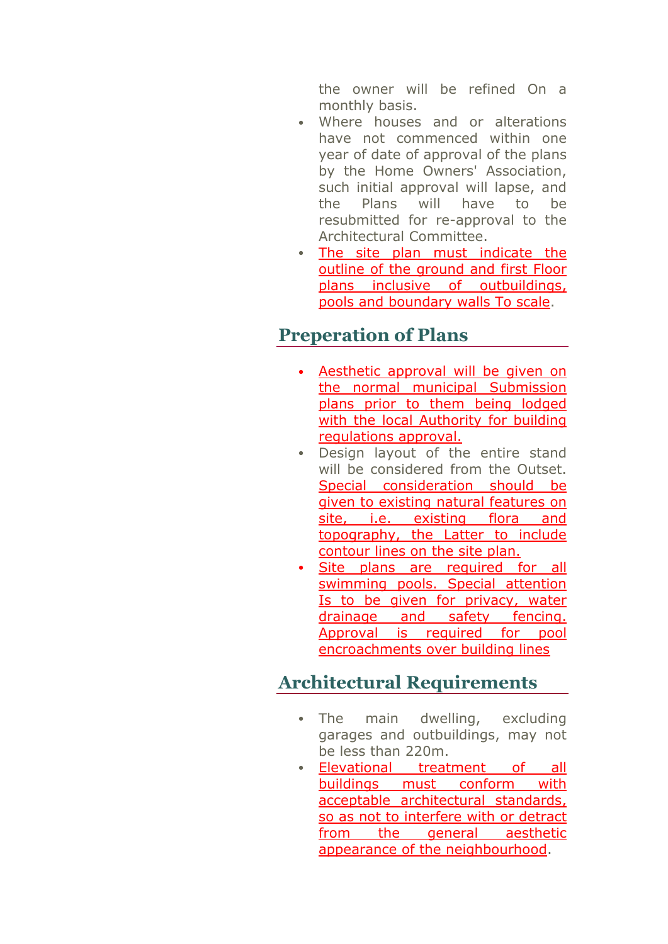the owner will be refined On a monthly basis.

- Where houses and or alterations have not commenced within one year of date of approval of the plans by the Home Owners' Association, such initial approval will lapse, and the Plans will have to be resubmitted for re-approval to the Architectural Committee.
- The site plan must indicate the outline of the ground and first Floor plans inclusive of outbuildings, pools and boundary walls To scale.

#### **Preperation of Plans**

- Aesthetic approval will be given on the normal municipal Submission plans prior to them being lodged with the local Authority for building regulations approval.
- Design layout of the entire stand will be considered from the Outset. Special consideration should be given to existing natural features on site, i.e. existing flora and topography, the Latter to include contour lines on the site plan.
- Site plans are required for all swimming pools. Special attention Is to be given for privacy, water drainage and safety fencing. Approval is required for pool encroachments over building lines

## **Architectural Requirements**

- The main dwelling, excluding garages and outbuildings, may not be less than 220m.
- Elevational treatment of all buildings must conform with acceptable architectural standards, so as not to interfere with or detract from the general aesthetic appearance of the neighbourhood.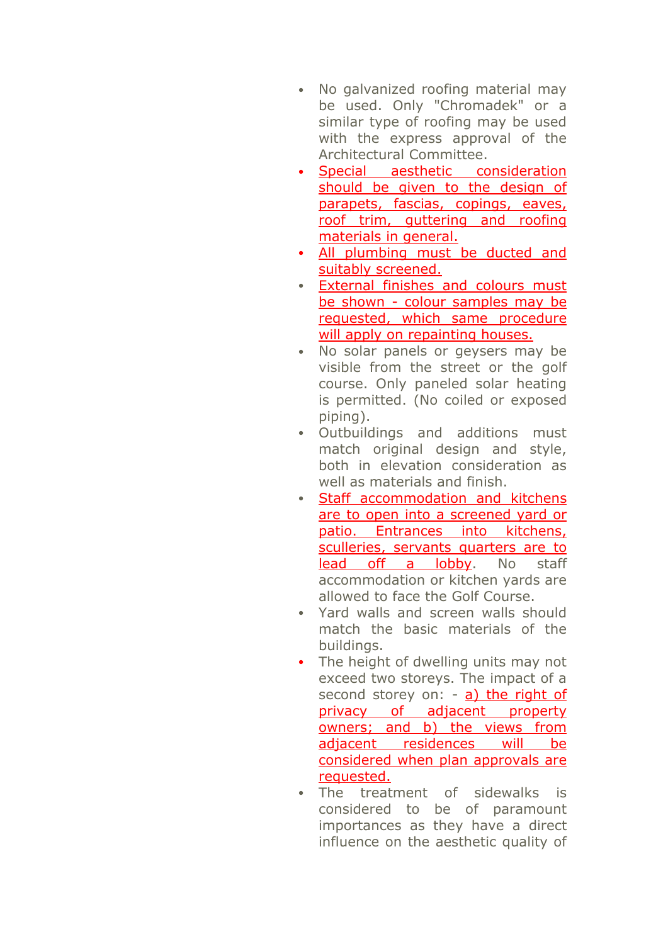- No galvanized roofing material may be used. Only "Chromadek" or a similar type of roofing may be used with the express approval of the Architectural Committee.
- Special aesthetic consideration should be given to the design of parapets, fascias, copings, eaves, roof trim, guttering and roofing materials in general.
- All plumbing must be ducted and suitably screened.
- External finishes and colours must be shown - colour samples may be requested, which same procedure will apply on repainting houses.
- No solar panels or geysers may be visible from the street or the golf course. Only paneled solar heating is permitted. (No coiled or exposed piping).
- Outbuildings and additions must match original design and style, both in elevation consideration as well as materials and finish.
- Staff accommodation and kitchens are to open into a screened yard or patio. Entrances into kitchens, sculleries, servants quarters are to lead off a lobby. No staff accommodation or kitchen yards are allowed to face the Golf Course.
- Yard walls and screen walls should match the basic materials of the buildings.
- The height of dwelling units may not exceed two storeys. The impact of a second storey on: - a) the right of privacy of adjacent property owners; and b) the views from adjacent residences will be considered when plan approvals are requested.
- The treatment of sidewalks is considered to be of paramount importances as they have a direct influence on the aesthetic quality of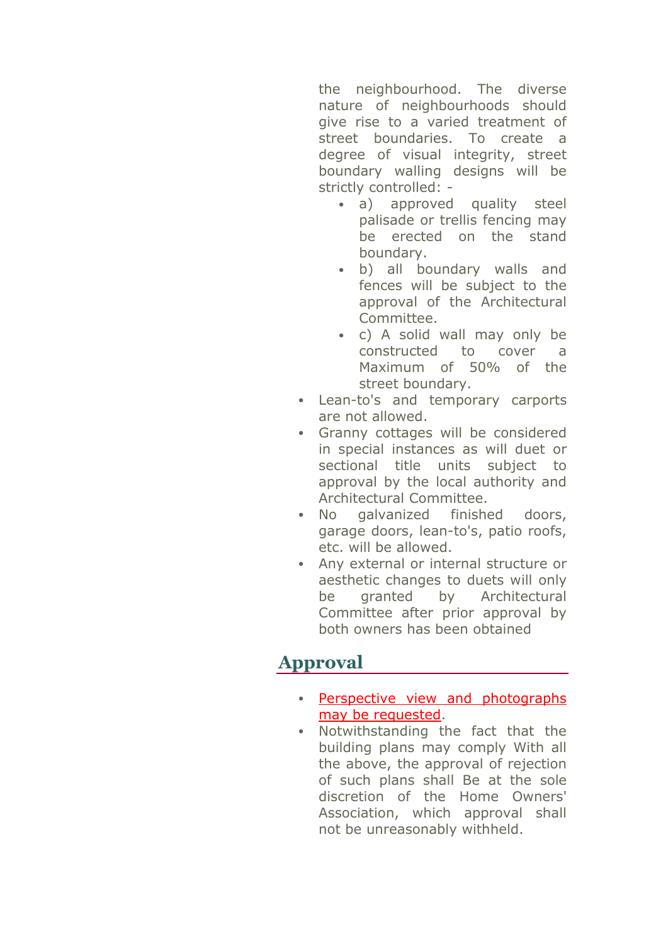the neighbourhood. The diverse nature of neighbourhoods should give rise to a varied treatment of street boundaries. To create a degree of visual integrity, street boundary walling designs will be strictly controlled: -

- a) approved quality steel palisade or trellis fencing may be erected on the stand boundary.
- b) all boundary walls and fences will be subject to the approval of the Architectural Committee.
- c) A solid wall may only be constructed to cover a Maximum of 50% of the street boundary.
- Lean-to's and temporary carports are not allowed.
- Granny cottages will be considered in special instances as will duet or sectional title units subject to approval by the local authority and Architectural Committee.
- No galvanized finished doors, garage doors, lean-to's, patio roofs, etc. will be allowed.
- Any external or internal structure or aesthetic changes to duets will only be granted by Architectural Committee after prior approval by both owners has been obtained

# **Approval**

- Perspective view and photographs may be requested.
- Notwithstanding the fact that the building plans may comply With all the above, the approval of rejection of such plans shall Be at the sole discretion of the Home Owners' Association, which approval shall not be unreasonably withheld.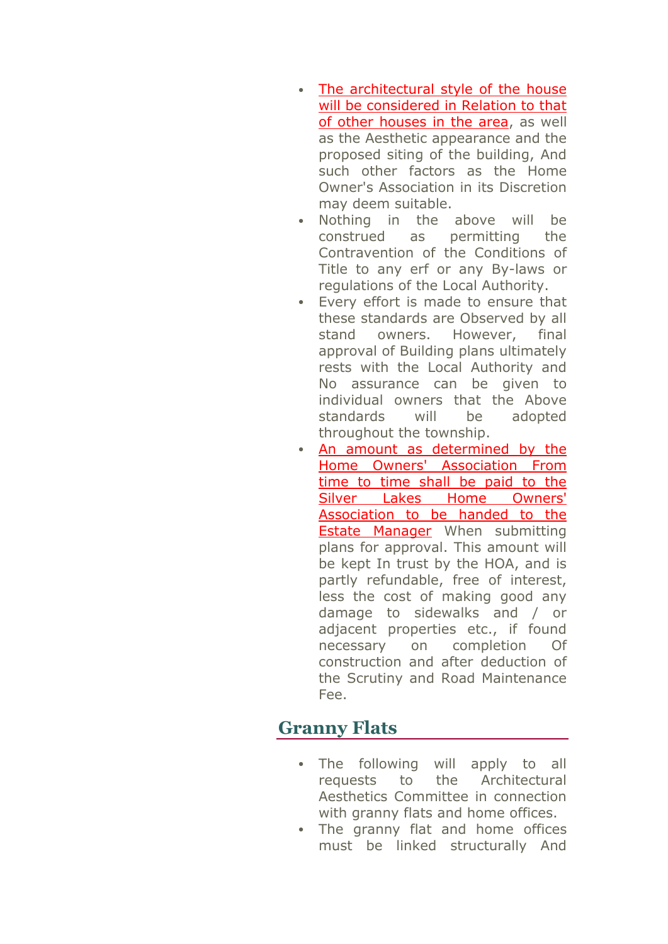- The architectural style of the house will be considered in Relation to that of other houses in the area, as well as the Aesthetic appearance and the proposed siting of the building, And such other factors as the Home Owner's Association in its Discretion may deem suitable.
- Nothing in the above will be construed as permitting the Contravention of the Conditions of Title to any erf or any By-laws or regulations of the Local Authority.
- Every effort is made to ensure that these standards are Observed by all stand owners. However, final approval of Building plans ultimately rests with the Local Authority and No assurance can be given to individual owners that the Above standards will be adopted throughout the township.
- An amount as determined by the Home Owners' Association From time to time shall be paid to the Silver Lakes Home Owners' Association to be handed to the Estate Manager When submitting plans for approval. This amount will be kept In trust by the HOA, and is partly refundable, free of interest, less the cost of making good any damage to sidewalks and / or adjacent properties etc., if found necessary on completion Of construction and after deduction of the Scrutiny and Road Maintenance Fee.

#### **Granny Flats**

- The following will apply to all requests to the Architectural Aesthetics Committee in connection with granny flats and home offices.
- The granny flat and home offices must be linked structurally And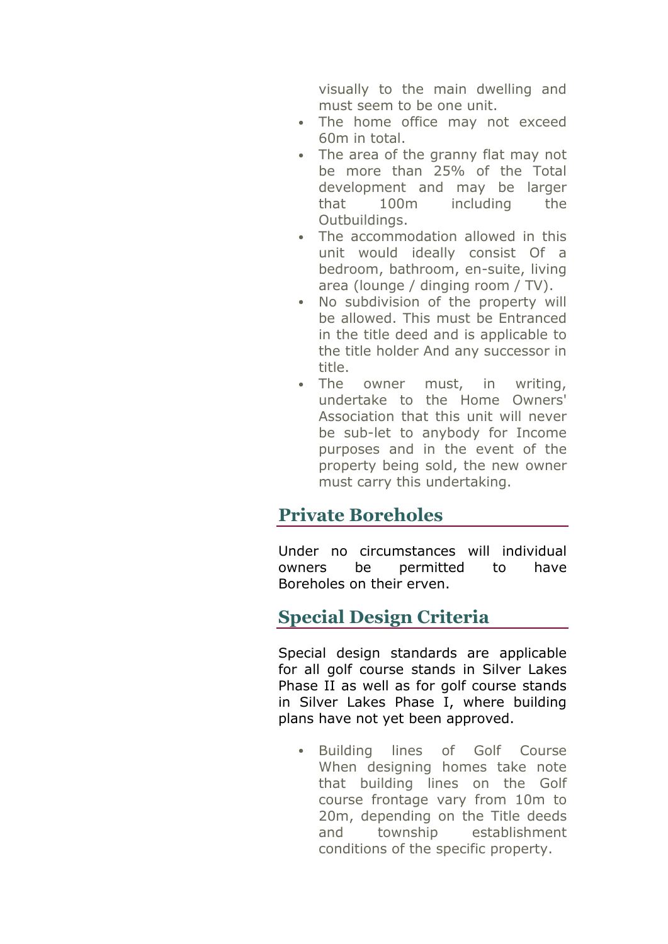visually to the main dwelling and must seem to be one unit.

- The home office may not exceed 60m in total.
- The area of the granny flat may not be more than 25% of the Total development and may be larger that 100m including the Outbuildings.
- The accommodation allowed in this unit would ideally consist Of a bedroom, bathroom, en-suite, living area (lounge / dinging room / TV).
- No subdivision of the property will be allowed. This must be Entranced in the title deed and is applicable to the title holder And any successor in title.
- The owner must, in writing, undertake to the Home Owners' Association that this unit will never be sub-let to anybody for Income purposes and in the event of the property being sold, the new owner must carry this undertaking.

### **Private Boreholes**

Under no circumstances will individual owners be permitted to have Boreholes on their erven.

## **Special Design Criteria**

Special design standards are applicable for all golf course stands in Silver Lakes Phase II as well as for golf course stands in Silver Lakes Phase I, where building plans have not yet been approved.

 Building lines of Golf Course When designing homes take note that building lines on the Golf course frontage vary from 10m to 20m, depending on the Title deeds and township establishment conditions of the specific property.